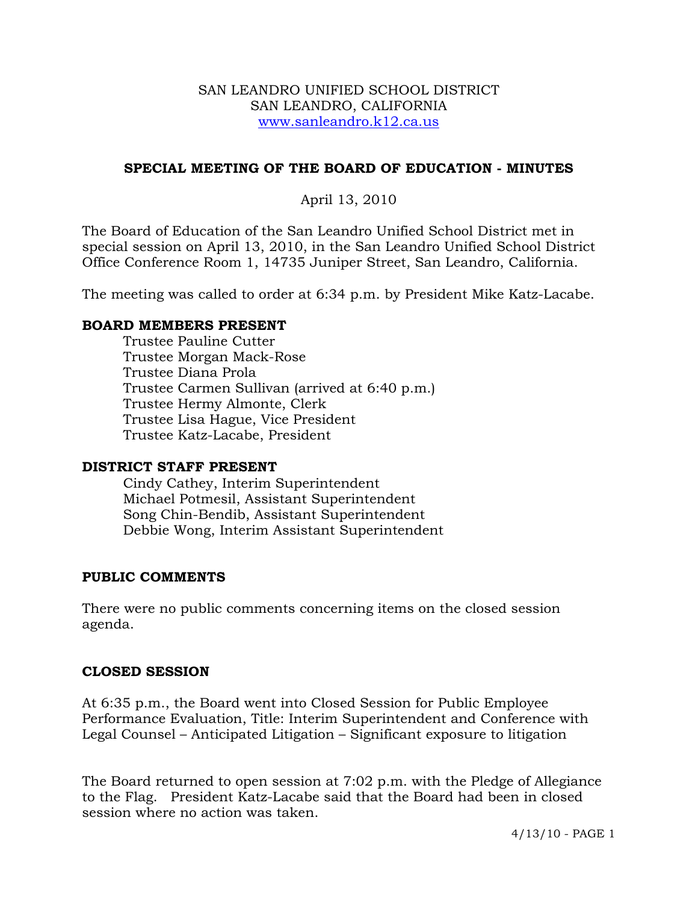### SAN LEANDRO UNIFIED SCHOOL DISTRICT SAN LEANDRO, CALIFORNIA www.sanleandro.k12.ca.us

# **SPECIAL MEETING OF THE BOARD OF EDUCATION - MINUTES**

# April 13, 2010

The Board of Education of the San Leandro Unified School District met in special session on April 13, 2010, in the San Leandro Unified School District Office Conference Room 1, 14735 Juniper Street, San Leandro, California.

The meeting was called to order at 6:34 p.m. by President Mike Katz-Lacabe.

### **BOARD MEMBERS PRESENT**

Trustee Pauline Cutter Trustee Morgan Mack-Rose Trustee Diana Prola Trustee Carmen Sullivan (arrived at 6:40 p.m.) Trustee Hermy Almonte, Clerk Trustee Lisa Hague, Vice President Trustee Katz-Lacabe, President

### **DISTRICT STAFF PRESENT**

Cindy Cathey, Interim Superintendent Michael Potmesil, Assistant Superintendent Song Chin-Bendib, Assistant Superintendent Debbie Wong, Interim Assistant Superintendent

### **PUBLIC COMMENTS**

There were no public comments concerning items on the closed session agenda.

# **CLOSED SESSION**

At 6:35 p.m., the Board went into Closed Session for Public Employee Performance Evaluation, Title: Interim Superintendent and Conference with Legal Counsel – Anticipated Litigation – Significant exposure to litigation

The Board returned to open session at 7:02 p.m. with the Pledge of Allegiance to the Flag. President Katz-Lacabe said that the Board had been in closed session where no action was taken.

4/13/10 - PAGE 1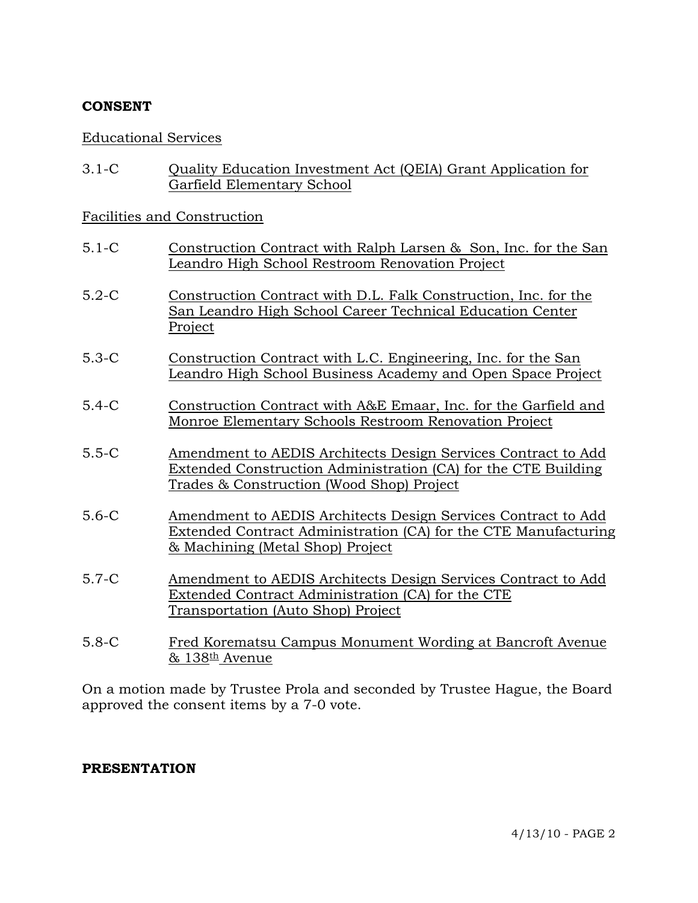# **CONSENT**

# Educational Services

3.1-C Quality Education Investment Act (QEIA) Grant Application for Garfield Elementary School

### Facilities and Construction

- 5.1-C Construction Contract with Ralph Larsen & Son, Inc. for the San Leandro High School Restroom Renovation Project
- 5.2-C Construction Contract with D.L. Falk Construction, Inc. for the San Leandro High School Career Technical Education Center Project
- 5.3-C Construction Contract with L.C. Engineering, Inc. for the San Leandro High School Business Academy and Open Space Project
- 5.4-C Construction Contract with A&E Emaar, Inc. for the Garfield and Monroe Elementary Schools Restroom Renovation Project
- 5.5-C Amendment to AEDIS Architects Design Services Contract to Add Extended Construction Administration (CA) for the CTE Building Trades & Construction (Wood Shop) Project
- 5.6-C Amendment to AEDIS Architects Design Services Contract to Add Extended Contract Administration (CA) for the CTE Manufacturing & Machining (Metal Shop) Project
- 5.7-C Amendment to AEDIS Architects Design Services Contract to Add Extended Contract Administration (CA) for the CTE Transportation (Auto Shop) Project
- 5.8-C Fred Korematsu Campus Monument Wording at Bancroft Avenue & 138th Avenue

On a motion made by Trustee Prola and seconded by Trustee Hague, the Board approved the consent items by a 7-0 vote.

# **PRESENTATION**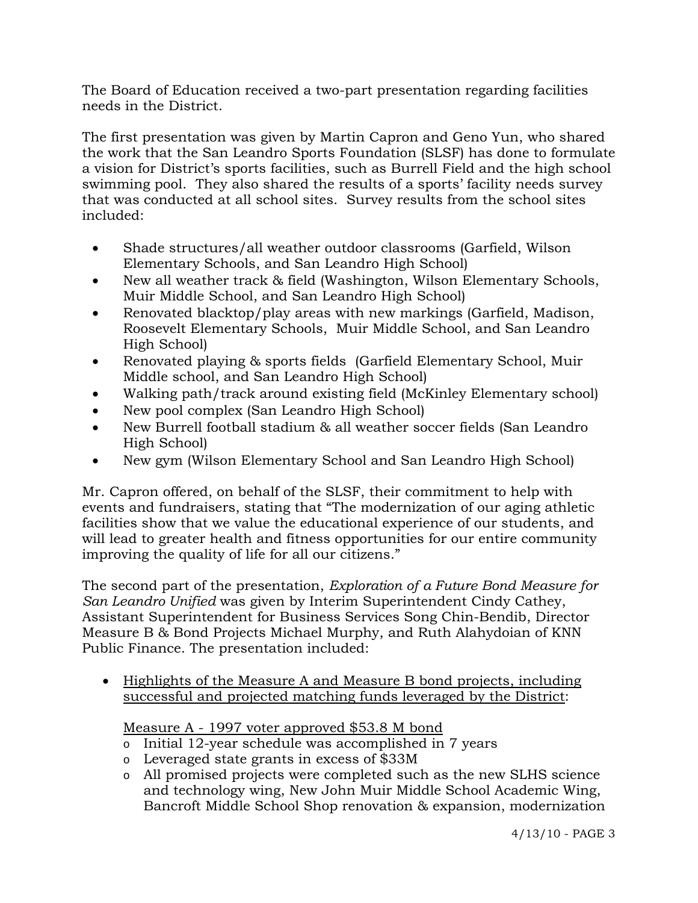The Board of Education received a two-part presentation regarding facilities needs in the District.

The first presentation was given by Martin Capron and Geno Yun, who shared the work that the San Leandro Sports Foundation (SLSF) has done to formulate a vision for District's sports facilities, such as Burrell Field and the high school swimming pool. They also shared the results of a sports' facility needs survey that was conducted at all school sites. Survey results from the school sites included:

- Shade structures/all weather outdoor classrooms (Garfield, Wilson Elementary Schools, and San Leandro High School)
- New all weather track & field (Washington, Wilson Elementary Schools, Muir Middle School, and San Leandro High School)
- Renovated blacktop/play areas with new markings (Garfield, Madison, Roosevelt Elementary Schools, Muir Middle School, and San Leandro High School)
- Renovated playing & sports fields (Garfield Elementary School, Muir Middle school, and San Leandro High School)
- Walking path/track around existing field (McKinley Elementary school)
- New pool complex (San Leandro High School)
- New Burrell football stadium & all weather soccer fields (San Leandro High School)
- New gym (Wilson Elementary School and San Leandro High School)

Mr. Capron offered, on behalf of the SLSF, their commitment to help with events and fundraisers, stating that "The modernization of our aging athletic facilities show that we value the educational experience of our students, and will lead to greater health and fitness opportunities for our entire community improving the quality of life for all our citizens."

The second part of the presentation, *Exploration of a Future Bond Measure for San Leandro Unified* was given by Interim Superintendent Cindy Cathey, Assistant Superintendent for Business Services Song Chin-Bendib, Director Measure B & Bond Projects Michael Murphy, and Ruth Alahydoian of KNN Public Finance. The presentation included:

• Highlights of the Measure A and Measure B bond projects, including successful and projected matching funds leveraged by the District:

Measure A - 1997 voter approved \$53.8 M bond

- o Initial 12-year schedule was accomplished in 7 years
- o Leveraged state grants in excess of \$33M
- o All promised projects were completed such as the new SLHS science and technology wing, New John Muir Middle School Academic Wing, Bancroft Middle School Shop renovation & expansion, modernization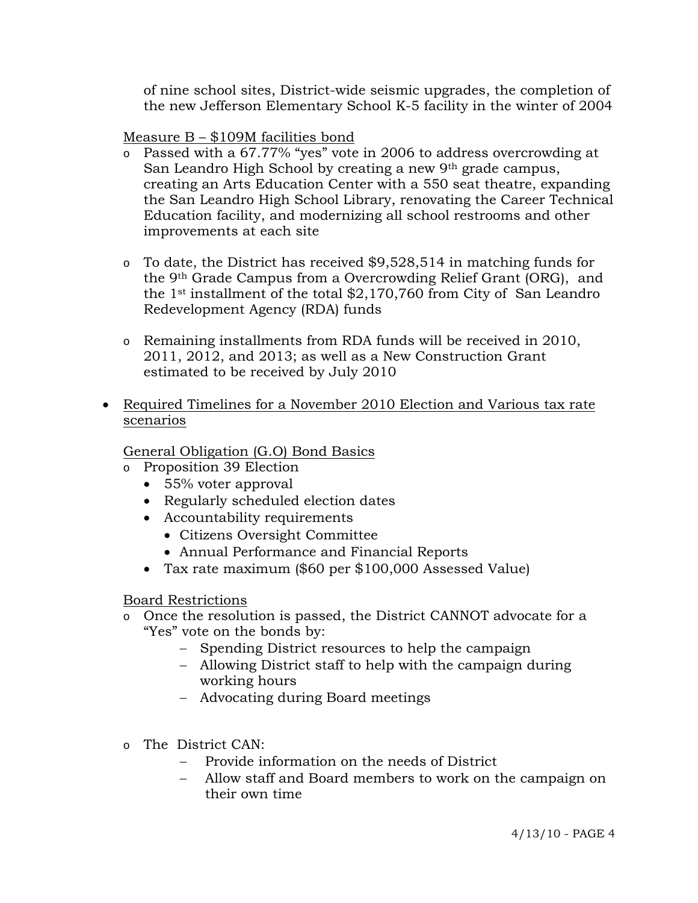of nine school sites, District-wide seismic upgrades, the completion of the new Jefferson Elementary School K-5 facility in the winter of 2004

Measure B – \$109M facilities bond

- o Passed with a 67.77% "yes" vote in 2006 to address overcrowding at San Leandro High School by creating a new 9th grade campus, creating an Arts Education Center with a 550 seat theatre, expanding the San Leandro High School Library, renovating the Career Technical Education facility, and modernizing all school restrooms and other improvements at each site
- o To date, the District has received \$9,528,514 in matching funds for the 9th Grade Campus from a Overcrowding Relief Grant (ORG), and the 1st installment of the total \$2,170,760 from City of San Leandro Redevelopment Agency (RDA) funds
- o Remaining installments from RDA funds will be received in 2010, 2011, 2012, and 2013; as well as a New Construction Grant estimated to be received by July 2010
- Required Timelines for a November 2010 Election and Various tax rate scenarios

General Obligation (G.O) Bond Basics

- o Proposition 39 Election
	- 55% voter approval
	- Regularly scheduled election dates
	- Accountability requirements
		- Citizens Oversight Committee
		- Annual Performance and Financial Reports
	- Tax rate maximum (\$60 per \$100,000 Assessed Value)

# Board Restrictions

- o Once the resolution is passed, the District CANNOT advocate for a "Yes" vote on the bonds by:
	- − Spending District resources to help the campaign
	- − Allowing District staff to help with the campaign during working hours
	- − Advocating during Board meetings
- o The District CAN:
	- − Provide information on the needs of District
	- − Allow staff and Board members to work on the campaign on their own time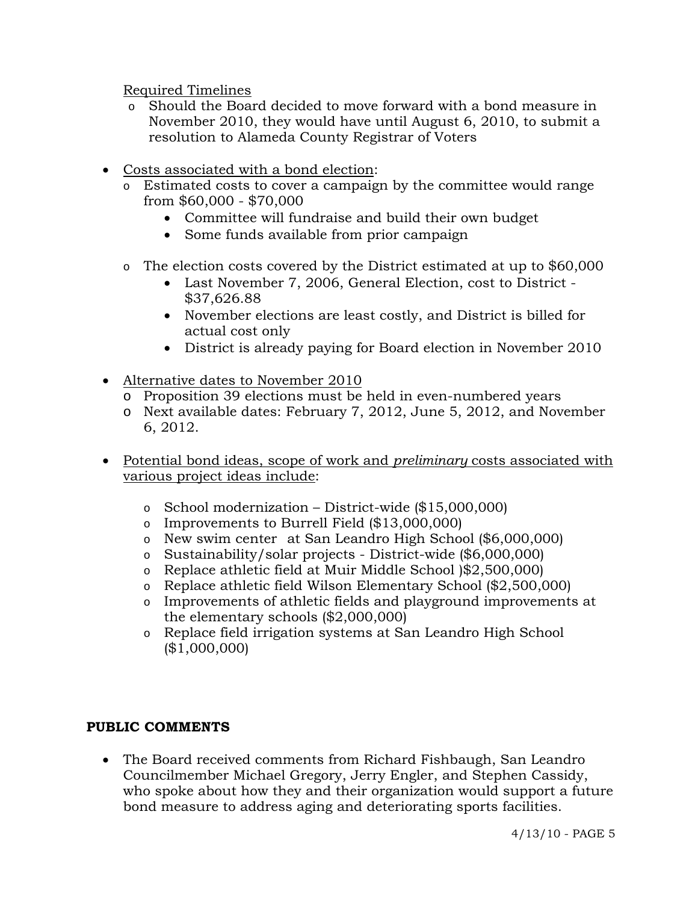Required Timelines

- o Should the Board decided to move forward with a bond measure in November 2010, they would have until August 6, 2010, to submit a resolution to Alameda County Registrar of Voters
- Costs associated with a bond election:
	- o Estimated costs to cover a campaign by the committee would range from \$60,000 - \$70,000
		- Committee will fundraise and build their own budget
		- Some funds available from prior campaign
	- o The election costs covered by the District estimated at up to \$60,000
		- Last November 7, 2006, General Election, cost to District \$37,626.88
		- November elections are least costly, and District is billed for actual cost only
		- District is already paying for Board election in November 2010
- Alternative dates to November 2010
	- o Proposition 39 elections must be held in even-numbered years
	- o Next available dates: February 7, 2012, June 5, 2012, and November 6, 2012.
- Potential bond ideas, scope of work and *preliminary* costs associated with various project ideas include:
	- o School modernization District-wide (\$15,000,000)
	- o Improvements to Burrell Field (\$13,000,000)
	- o New swim center at San Leandro High School (\$6,000,000)
	- o Sustainability/solar projects District-wide (\$6,000,000)
	- o Replace athletic field at Muir Middle School )\$2,500,000)
	- o Replace athletic field Wilson Elementary School (\$2,500,000)
	- o Improvements of athletic fields and playground improvements at the elementary schools (\$2,000,000)
	- o Replace field irrigation systems at San Leandro High School (\$1,000,000)

# **PUBLIC COMMENTS**

• The Board received comments from Richard Fishbaugh, San Leandro Councilmember Michael Gregory, Jerry Engler, and Stephen Cassidy, who spoke about how they and their organization would support a future bond measure to address aging and deteriorating sports facilities.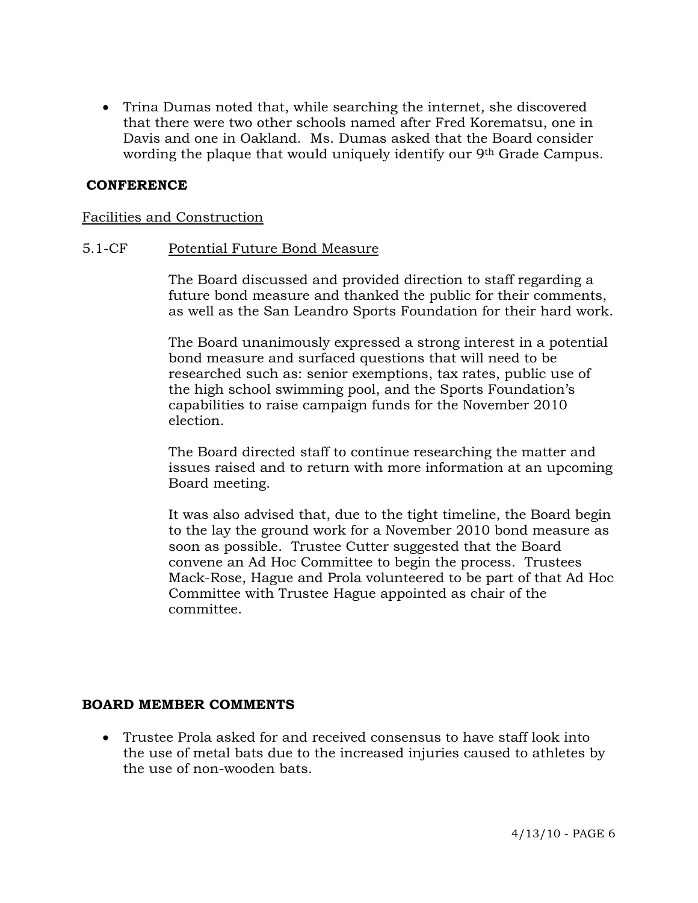• Trina Dumas noted that, while searching the internet, she discovered that there were two other schools named after Fred Korematsu, one in Davis and one in Oakland. Ms. Dumas asked that the Board consider wording the plaque that would uniquely identify our 9<sup>th</sup> Grade Campus.

### **CONFERENCE**

### Facilities and Construction

### 5.1-CF Potential Future Bond Measure

The Board discussed and provided direction to staff regarding a future bond measure and thanked the public for their comments, as well as the San Leandro Sports Foundation for their hard work.

The Board unanimously expressed a strong interest in a potential bond measure and surfaced questions that will need to be researched such as: senior exemptions, tax rates, public use of the high school swimming pool, and the Sports Foundation's capabilities to raise campaign funds for the November 2010 election.

The Board directed staff to continue researching the matter and issues raised and to return with more information at an upcoming Board meeting.

It was also advised that, due to the tight timeline, the Board begin to the lay the ground work for a November 2010 bond measure as soon as possible. Trustee Cutter suggested that the Board convene an Ad Hoc Committee to begin the process. Trustees Mack-Rose, Hague and Prola volunteered to be part of that Ad Hoc Committee with Trustee Hague appointed as chair of the committee.

### **BOARD MEMBER COMMENTS**

• Trustee Prola asked for and received consensus to have staff look into the use of metal bats due to the increased injuries caused to athletes by the use of non-wooden bats.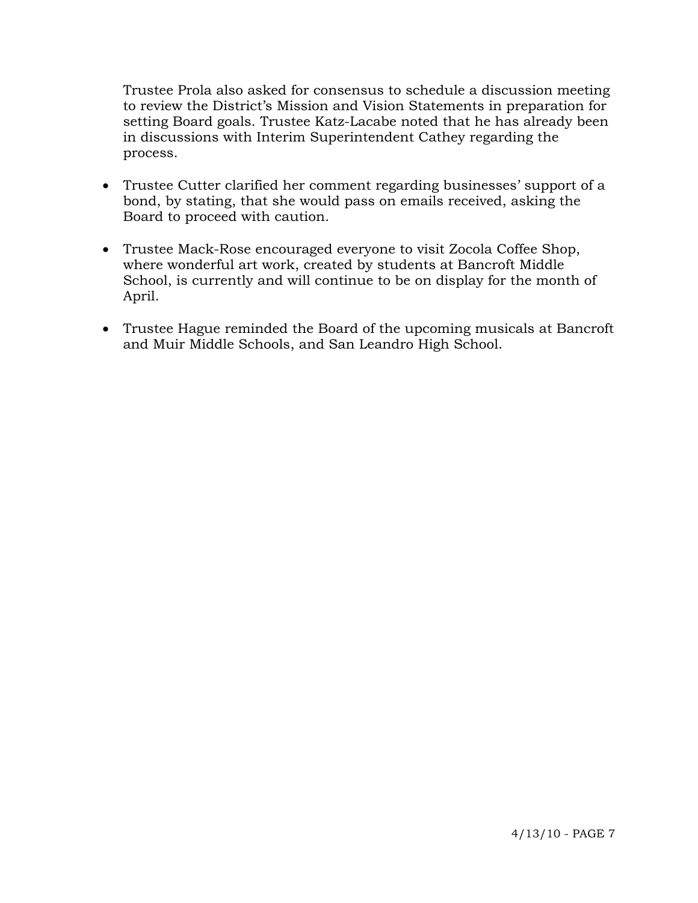Trustee Prola also asked for consensus to schedule a discussion meeting to review the District's Mission and Vision Statements in preparation for setting Board goals. Trustee Katz-Lacabe noted that he has already been in discussions with Interim Superintendent Cathey regarding the process.

- Trustee Cutter clarified her comment regarding businesses' support of a bond, by stating, that she would pass on emails received, asking the Board to proceed with caution.
- Trustee Mack-Rose encouraged everyone to visit Zocola Coffee Shop, where wonderful art work, created by students at Bancroft Middle School, is currently and will continue to be on display for the month of April.
- Trustee Hague reminded the Board of the upcoming musicals at Bancroft and Muir Middle Schools, and San Leandro High School.